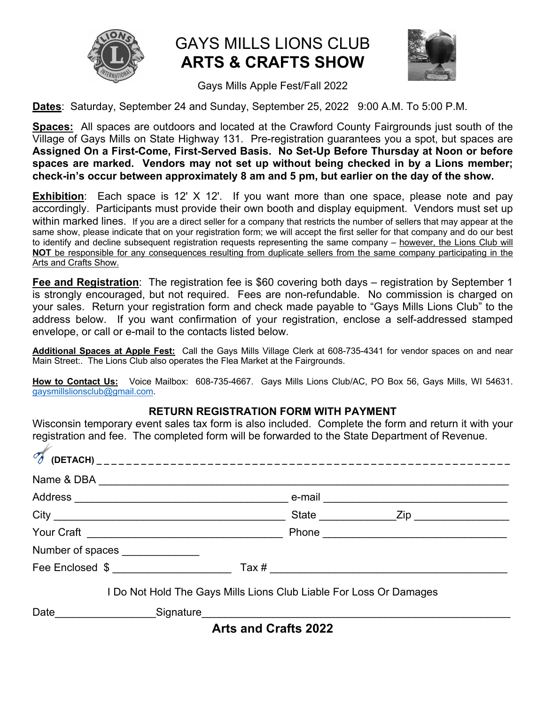

# GAYS MILLS LIONS CLUB **ARTS & CRAFTS SHOW**



Gays Mills Apple Fest/Fall 2022

**Dates**: Saturday, September 24 and Sunday, September 25, 2022 9:00 A.M. To 5:00 P.M.

**Spaces:** All spaces are outdoors and located at the Crawford County Fairgrounds just south of the Village of Gays Mills on State Highway 131. Pre-registration guarantees you a spot, but spaces are **Assigned On a First-Come, First-Served Basis. No Set-Up Before Thursday at Noon or before spaces are marked. Vendors may not set up without being checked in by a Lions member; check-in's occur between approximately 8 am and 5 pm, but earlier on the day of the show.**

**Exhibition**: Each space is 12' X 12'. If you want more than one space, please note and pay accordingly. Participants must provide their own booth and display equipment. Vendors must set up within marked lines. If you are a direct seller for a company that restricts the number of sellers that may appear at the same show, please indicate that on your registration form; we will accept the first seller for that company and do our best to identify and decline subsequent registration requests representing the same company – however, the Lions Club will **NOT** be responsible for any consequences resulting from duplicate sellers from the same company participating in the Arts and Crafts Show.

**Fee and Registration**: The registration fee is \$60 covering both days – registration by September 1 is strongly encouraged, but not required. Fees are non-refundable. No commission is charged on your sales. Return your registration form and check made payable to "Gays Mills Lions Club" to the address below. If you want confirmation of your registration, enclose a self-addressed stamped envelope, or call or e-mail to the contacts listed below.

**Additional Spaces at Apple Fest:** Call the Gays Mills Village Clerk at 608-735-4341 for vendor spaces on and near Main Street:. The Lions Club also operates the Flea Market at the Fairgrounds.

**How to Contact Us:** Voice Mailbox: 608-735-4667. Gays Mills Lions Club/AC, PO Box 56, Gays Mills, WI 54631. gaysmillslionsclub@gmail.com.

# **RETURN REGISTRATION FORM WITH PAYMENT**

Wisconsin temporary event sales tax form is also included. Complete the form and return it with your registration and fee. The completed form will be forwarded to the State Department of Revenue.

|                                 | Name & DBA                                                         |                             |                  |  |
|---------------------------------|--------------------------------------------------------------------|-----------------------------|------------------|--|
|                                 |                                                                    |                             |                  |  |
|                                 |                                                                    |                             | State <u>Zip</u> |  |
|                                 |                                                                    |                             |                  |  |
| Number of spaces ______________ |                                                                    |                             |                  |  |
|                                 | Fee Enclosed \$                                                    |                             |                  |  |
|                                 | I Do Not Hold The Gays Mills Lions Club Liable For Loss Or Damages |                             |                  |  |
|                                 |                                                                    |                             |                  |  |
|                                 |                                                                    | <b>Arts and Crafts 2022</b> |                  |  |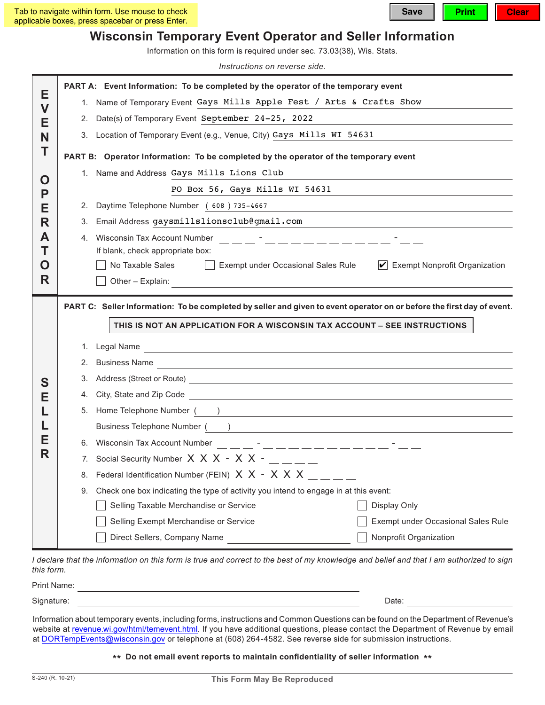# **Wisconsin Temporary Event Operator and Seller Information**

Information on this form is required under sec. 73.03(38), Wis. Stats.

*Instructions on reverse side.*

|                              |                                                                           | PART A: Event Information: To be completed by the operator of the temporary event                                                                                                                                              |  |  |  |
|------------------------------|---------------------------------------------------------------------------|--------------------------------------------------------------------------------------------------------------------------------------------------------------------------------------------------------------------------------|--|--|--|
| Е                            | 1. Name of Temporary Event Gays Mills Apple Fest / Arts & Crafts Show     |                                                                                                                                                                                                                                |  |  |  |
| $\overline{\mathsf{V}}$<br>Е | 2.                                                                        | Date(s) of Temporary Event September 24-25, 2022                                                                                                                                                                               |  |  |  |
| N                            | 3. Location of Temporary Event (e.g., Venue, City) Gays Mills WI 54631    |                                                                                                                                                                                                                                |  |  |  |
| Т                            |                                                                           | PART B: Operator Information: To be completed by the operator of the temporary event                                                                                                                                           |  |  |  |
| O<br>P<br>Е<br>R<br>A        |                                                                           | 1. Name and Address Gays Mills Lions Club                                                                                                                                                                                      |  |  |  |
|                              |                                                                           | PO Box 56, Gays Mills WI 54631                                                                                                                                                                                                 |  |  |  |
|                              | 2.                                                                        | Daytime Telephone Number (608) 735-4667<br>and the control of the control of the control of the control of the control of the control of the control of the                                                                    |  |  |  |
|                              | 3.                                                                        | Email Address gaysmillslionsclub@gmail.com                                                                                                                                                                                     |  |  |  |
|                              |                                                                           |                                                                                                                                                                                                                                |  |  |  |
| Т                            |                                                                           | If blank, check appropriate box:                                                                                                                                                                                               |  |  |  |
| Ő                            |                                                                           | No Taxable Sales<br>$\boxed{\mathbf{v}}$ Exempt Nonprofit Organization<br>Exempt under Occasional Sales Rule                                                                                                                   |  |  |  |
| R                            |                                                                           | Other - Explain:                                                                                                                                                                                                               |  |  |  |
|                              |                                                                           | PART C: Seller Information: To be completed by seller and given to event operator on or before the first day of event.                                                                                                         |  |  |  |
|                              | THIS IS NOT AN APPLICATION FOR A WISCONSIN TAX ACCOUNT - SEE INSTRUCTIONS |                                                                                                                                                                                                                                |  |  |  |
|                              |                                                                           |                                                                                                                                                                                                                                |  |  |  |
|                              | 1.                                                                        | Legal Name and the contract of the contract of the contract of the contract of the contract of the contract of                                                                                                                 |  |  |  |
| S<br>Е<br>Е<br>R             | 2.                                                                        | Business Name<br><u> 1980 - Andrea Station Andrea Station (m. 1980)</u>                                                                                                                                                        |  |  |  |
|                              | 3.                                                                        |                                                                                                                                                                                                                                |  |  |  |
|                              | 4.<br>5.                                                                  |                                                                                                                                                                                                                                |  |  |  |
|                              |                                                                           | Home Telephone Number (Australian Company of Company of Company of Company of Company of Company of Company of Company of Company of Company of Company of Company of Company of Company of Company of Company of Company of C |  |  |  |
|                              |                                                                           | Business Telephone Number ( )                                                                                                                                                                                                  |  |  |  |
|                              |                                                                           | 7. Social Security Number $X \times X - X \times -$ _ _ _ _                                                                                                                                                                    |  |  |  |
|                              | Federal Identification Number (FEIN) X X - X X X<br>8.                    |                                                                                                                                                                                                                                |  |  |  |
|                              | 9.                                                                        | Check one box indicating the type of activity you intend to engage in at this event:                                                                                                                                           |  |  |  |
|                              |                                                                           | Selling Taxable Merchandise or Service<br>Display Only                                                                                                                                                                         |  |  |  |
|                              |                                                                           | Selling Exempt Merchandise or Service<br>Exempt under Occasional Sales Rule                                                                                                                                                    |  |  |  |
|                              |                                                                           | Direct Sellers, Company Name<br>Nonprofit Organization                                                                                                                                                                         |  |  |  |

*I declare that the information on this form is true and correct to the best of my knowledge and belief and that I am authorized to sign this form.*

| Sinnature<br><sub>- · ອ'</sub> ıalul <del>c</del> . |                                                                                                                                                                                                                                   | Date: |  |
|-----------------------------------------------------|-----------------------------------------------------------------------------------------------------------------------------------------------------------------------------------------------------------------------------------|-------|--|
|                                                     | $\mathbf{r}$ , and the contract of the contract of the contract of the contract of the contract of the contract of the contract of the contract of the contract of the contract of the contract of the contract of the contract o |       |  |

Information about temporary events, including forms, instructions and Common Questions can be found on the Department of Revenue's website at revenue.wi.gov/html/temevent.html. If you have additional questions, please contact the Department of Revenue by email at DORTempEvents@wisconsin.gov or telephone at (608) 264-4582. See reverse side for submission instructions.

#### **\*\* Do not email event reports to maintain confdentiality of seller information \*\***

Print Name: